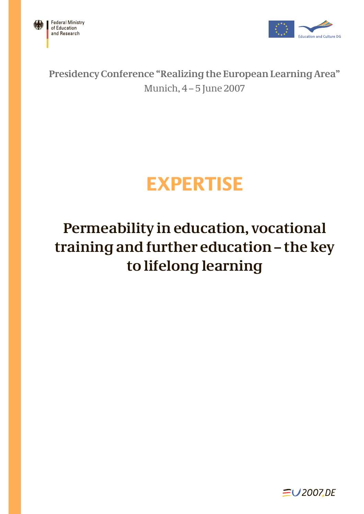



**Presidency Conference "Realizing the European Learning Area"** Munich, 4 – 5 June 2007

# **EXPERTISE**

## **Permeability in education, vocational training and further education – the key to lifelong learning**

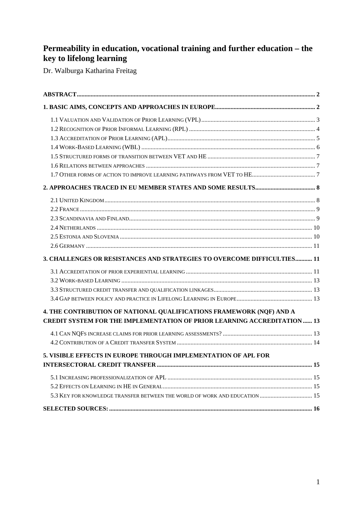## **Permeability in education, vocational training and further education – the key to lifelong learning**

Dr. Walburga Katharina Freitag

| 3. CHALLENGES OR RESISTANCES AND STRATEGIES TO OVERCOME DIFFICULTIES 11        |  |
|--------------------------------------------------------------------------------|--|
|                                                                                |  |
|                                                                                |  |
|                                                                                |  |
|                                                                                |  |
| 4. THE CONTRIBUTION OF NATIONAL QUALIFICATIONS FRAMEWORK (NQF) AND A           |  |
| <b>CREDIT SYSTEM FOR THE IMPLEMENTATION OF PRIOR LEARNING ACCREDITATION 13</b> |  |
|                                                                                |  |
|                                                                                |  |
| 5. VISIBLE EFFECTS IN EUROPE THROUGH IMPLEMENTATION OF APL FOR                 |  |
|                                                                                |  |
|                                                                                |  |
|                                                                                |  |
| 5.3 KEY FOR KNOWLEDGE TRANSFER BETWEEN THE WORLD OF WORK AND EDUCATION  15     |  |
|                                                                                |  |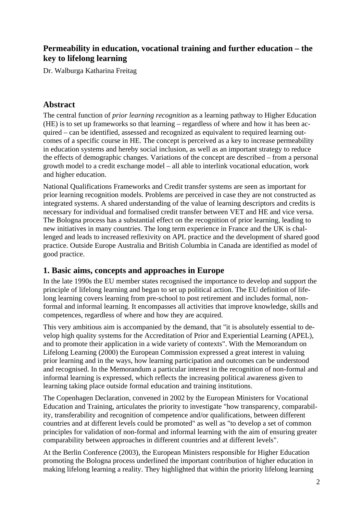## **Permeability in education, vocational training and further education – the key to lifelong learning**

Dr. Walburga Katharina Freitag

## **Abstract**

The central function of *prior learning recognition* as a learning pathway to Higher Education (HE) is to set up frameworks so that learning – regardless of where and how it has been acquired – can be identified, assessed and recognized as equivalent to required learning outcomes of a specific course in HE. The concept is perceived as a key to increase permeability in education systems and hereby social inclusion, as well as an important strategy to reduce the effects of demographic changes. Variations of the concept are described – from a personal growth model to a credit exchange model – all able to interlink vocational education, work and higher education.

National Qualifications Frameworks and Credit transfer systems are seen as important for prior learning recognition models. Problems are perceived in case they are not constructed as integrated systems. A shared understanding of the value of learning descriptors and credits is necessary for individual and formalised credit transfer between VET and HE and vice versa. The Bologna process has a substantial effect on the recognition of prior learning, leading to new initiatives in many countries. The long term experience in France and the UK is challenged and leads to increased reflexivity on APL practice and the development of shared good practice. Outside Europe Australia and British Columbia in Canada are identified as model of good practice.

## **1. Basic aims, concepts and approaches in Europe**

In the late 1990s the EU member states recognised the importance to develop and support the principle of lifelong learning and began to set up political action. The EU definition of lifelong learning covers learning from pre-school to post retirement and includes formal, nonformal and informal learning. It encompasses all activities that improve knowledge, skills and competences, regardless of where and how they are acquired.

This very ambitious aim is accompanied by the demand, that "it is absolutely essential to develop high quality systems for the Accreditation of Prior and Experiential Learning (APEL), and to promote their application in a wide variety of contexts". With the Memorandum on Lifelong Learning (2000) the European Commission expressed a great interest in valuing prior learning and in the ways, how learning participation and outcomes can be understood and recognised. In the Memorandum a particular interest in the recognition of non-formal and informal learning is expressed, which reflects the increasing political awareness given to learning taking place outside formal education and training institutions.

The Copenhagen Declaration, convened in 2002 by the European Ministers for Vocational Education and Training, articulates the priority to investigate "how transparency, comparability, transferability and recognition of competence and/or qualifications, between different countries and at different levels could be promoted" as well as "to develop a set of common principles for validation of non-formal and informal learning with the aim of ensuring greater comparability between approaches in different countries and at different levels".

At the Berlin Conference (2003), the European Ministers responsible for Higher Education promoting the Bologna process underlined the important contribution of higher education in making lifelong learning a reality. They highlighted that within the priority lifelong learning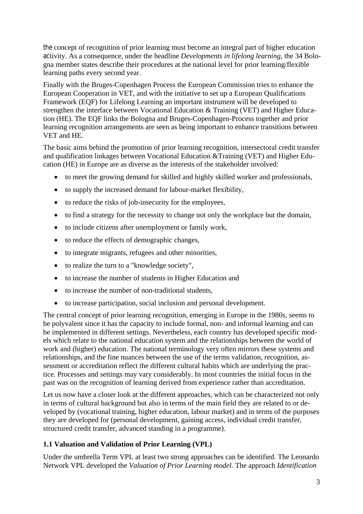the concept of recognition of prior learning must become an integral part of higher education activity. As a consequence, under the headline *Developments in lifelong learning*, the 34 Bologna member states describe their procedures at the national level for prior learning/flexible learning paths every second year.

Finally with the Bruges-Copenhagen Process the European Commission tries to enhance the European Cooperation in VET, and with the initiative to set up a European Qualifications Framework (EQF) for Lifelong Learning an important instrument will be developed to strengthen the interface between Vocational Education & Training (VET) and Higher Education (HE). The EQF links the Bologna and Bruges-Copenhagen-Process together and prior learning recognition arrangements are seen as being important to enhance transitions between VET and HE.

The basic aims behind the promotion of prior learning recognition, intersectoral credit transfer and qualification linkages between Vocational Education &Training (VET) and Higher Education (HE) in Europe are as diverse as the interests of the stakeholder involved:

- to meet the growing demand for skilled and highly skilled worker and professionals,
- to supply the increased demand for labour-market flexibility,
- to reduce the risks of job-insecurity for the employees,
- to find a strategy for the necessity to change not only the workplace but the domain,
- to include citizens after unemployment or family work,
- to reduce the effects of demographic changes,
- to integrate migrants, refugees and other minorities,
- to realize the turn to a "knowledge society",
- to increase the number of students in Higher Education and
- to increase the number of non-traditional students,
- to increase participation, social inclusion and personal development.

The central concept of prior learning recognition, emerging in Europe in the 1980s, seems to be polyvalent since it has the capacity to include formal, non- and informal learning and can be implemented in different settings. Nevertheless, each country has developed specific models which relate to the national education system and the relationships between the world of work and (higher) education. The national terminology very often mirrors these systems and relationships, and the fine nuances between the use of the terms validation, recognition, assessment or accreditation reflect the different cultural habits which are underlying the practice. Processes and settings may vary considerably. In most countries the initial focus in the past was on the recognition of learning derived from experience rather than accreditation.

Let us now have a closer look at the different approaches, which can be characterized not only in terms of cultural background but also in terms of the main field they are related to or developed by (vocational training, higher education, labour market) and in terms of the purposes they are developed for (personal development, gaining access, individual credit transfer, structured credit transfer, advanced standing in a programme).

#### **1.1 Valuation and Validation of Prior Learning (VPL)**

Under the umbrella Term VPL at least two strong approaches can be identified. The Leonardo Network VPL developed the *Valuation of Prior Learning model.* The approach *Identification*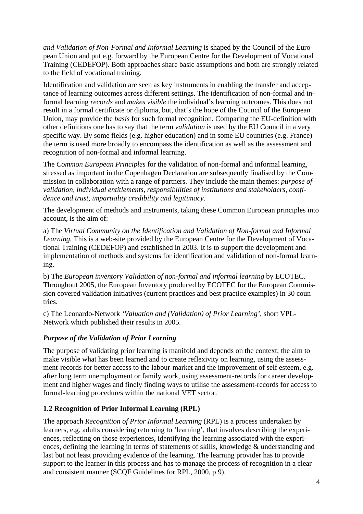*and Validation of Non-Formal and Informal Learning* is shaped by the Council of the European Union and put e.g. forward by the European Centre for the Development of Vocational Training (CEDEFOP). Both approaches share basic assumptions and both are strongly related to the field of vocational training.

Identification and validation are seen as key instruments in enabling the transfer and acceptance of learning outcomes across different settings. The identification of non-formal and informal learning *records* and *makes visible* the individual's learning outcomes. This does not result in a formal certificate or diploma, but, that's the hope of the Council of the European Union, may provide the *basis* for such formal recognition. Comparing the EU-definition with other definitions one has to say that the term *validation* is used by the EU Council in a very specific way. By some fields (e.g. higher education) and in some EU countries (e.g. France) the term is used more broadly to encompass the identification as well as the assessment and recognition of non-formal and informal learning.

The *Common European Principles* for the validation of non-formal and informal learning, stressed as important in the Copenhagen Declaration are subsequently finalised by the Commission in collaboration with a range of partners. They include the main themes: *purpose of validation, individual entitlements, responsibilities of institutions and stakeholders, confidence and trust, impartiality credibility and legitimacy*.

The development of methods and instruments, taking these Common European principles into account, is the aim of:

a) The *Virtual Community on the Identification and Validation of Non-formal and Informal Learning.* This is a web-site provided by the European Centre for the Development of Vocational Training (CEDEFOP) and established in 2003. It is to support the development and implementation of methods and systems for identification and validation of non-formal learning.

b) The *European inventory Validation of non-formal and informal learning* by ECOTEC. Throughout 2005, the European Inventory produced by ECOTEC for the European Commission covered validation initiatives (current practices and best practice examples) in 30 countries.

c) The Leonardo-Network *'Valuation and (Validation) of Prior Learning'*, short VPL-Network which published their results in 2005.

## *Purpose of the Validation of Prior Learning*

The purpose of validating prior learning is manifold and depends on the context; the aim to make visible what has been learned and to create reflexivity on learning, using the assessment-records for better access to the labour-market and the improvement of self esteem, e.g. after long term unemployment or family work, using assessment-records for career development and higher wages and finely finding ways to utilise the assessment-records for access to formal-learning procedures within the national VET sector.

#### **1.2 Recognition of Prior Informal Learning (RPL)**

The approach *Recognition of Prior Informal Learning* (RPL) is a process undertaken by learners, e.g. adults considering returning to 'learning', that involves describing the experiences, reflecting on those experiences, identifying the learning associated with the experiences, defining the learning in terms of statements of skills, knowledge & understanding and last but not least providing evidence of the learning. The learning provider has to provide support to the learner in this process and has to manage the process of recognition in a clear and consistent manner (SCQF Guidelines for RPL, 2000, p 9).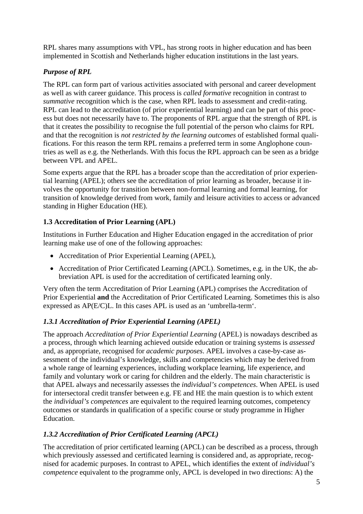RPL shares many assumptions with VPL, has strong roots in higher education and has been implemented in Scottish and Netherlands higher education institutions in the last years.

## *Purpose of RPL*

The RPL can form part of various activities associated with personal and career development as well as with career guidance. This process is *called formative* recognition in contrast to *summative* recognition which is the case, when RPL leads to assessment and credit-rating. RPL can lead to the accreditation (of prior experiential learning) and can be part of this process but does not necessarily have to. The proponents of RPL argue that the strength of RPL is that it creates the possibility to recognise the full potential of the person who claims for RPL and that the recognition is *not restricted by the learning outcomes* of established formal qualifications. For this reason the term RPL remains a preferred term in some Anglophone countries as well as e.g. the Netherlands. With this focus the RPL approach can be seen as a bridge between VPL and APEL.

Some experts argue that the RPL has a broader scope than the accreditation of prior experiential learning (APEL); others see the accreditation of prior learning as broader, because it involves the opportunity for transition between non-formal learning and formal learning, for transition of knowledge derived from work, family and leisure activities to access or advanced standing in Higher Education (HE).

## **1.3 Accreditation of Prior Learning (APL)**

Institutions in Further Education and Higher Education engaged in the accreditation of prior learning make use of one of the following approaches:

- Accreditation of Prior Experiential Learning (APEL),
- Accreditation of Prior Certificated Learning (APCL). Sometimes, e.g. in the UK, the abbreviation APL is used for the accreditation of certificated learning only.

Very often the term Accreditation of Prior Learning (APL) comprises the Accreditation of Prior Experiential **and** the Accreditation of Prior Certificated Learning. Sometimes this is also expressed as AP(E/C)L. In this cases APL is used as an 'umbrella-term'.

## *1.3.1 Accreditation of Prior Experiential Learning (APEL)*

The approach *Accreditation of Prior Experiential Learning* (APEL) is nowadays described as a process, through which learning achieved outside education or training systems is *assessed* and, as appropriate, recognised for *academic purposes*. APEL involves a case-by-case assessment of the individual's knowledge, skills and competencies which may be derived from a whole range of learning experiences, including workplace learning, life experience, and family and voluntary work or caring for children and the elderly. The main characteristic is that APEL always and necessarily assesses the *individual's competences*. When APEL is used for intersectoral credit transfer between e.g. FE and HE the main question is to which extent the *individual's competences* are equivalent to the required learning outcomes, competency outcomes or standards in qualification of a specific course or study programme in Higher **Education** 

## *1.3.2 Accreditation of Prior Certificated Learning (APCL)*

The accreditation of prior certificated learning (APCL) can be described as a process, through which previously assessed and certificated learning is considered and, as appropriate, recognised for academic purposes. In contrast to APEL, which identifies the extent of *individual's competence* equivalent to the programme only, APCL is developed in two directions: A) the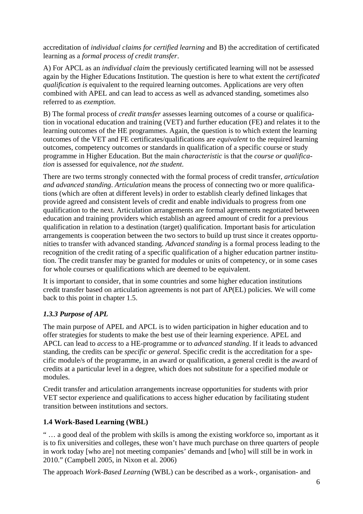accreditation of *individual claims for certified learning* and B) the accreditation of certificated learning as a *formal process of credit transfer*.

A) For APCL as an *individual claim* the previously certificated learning will not be assessed again by the Higher Educations Institution. The question is here to what extent the *certificated qualification is* equivalent to the required learning outcomes. Applications are very often combined with APEL and can lead to access as well as advanced standing, sometimes also referred to as *exemption*.

B) The formal process of *credit transfer* assesses learning outcomes of a course or qualification in vocational education and training (VET) and further education (FE) and relates it to the learning outcomes of the HE programmes. Again, the question is to which extent the learning outcomes of the VET and FE certificates/qualifications are *equivalent* to the required learning outcomes, competency outcomes or standards in qualification of a specific course or study programme in Higher Education. But the main *characteristic* is that the *course or qualification* is assessed for equivalence, *not the student*.

There are two terms strongly connected with the formal process of credit transfer, *articulation and advanced standing*. *Articulation* means the process of connecting two or more qualifications (which are often at different levels) in order to establish clearly defined linkages that provide agreed and consistent levels of credit and enable individuals to progress from one qualification to the next. Articulation arrangements are formal agreements negotiated between education and training providers which establish an agreed amount of credit for a previous qualification in relation to a destination (target) qualification. Important basis for articulation arrangements is cooperation between the two sectors to build up trust since it creates opportunities to transfer with advanced standing. *Advanced standing* is a formal process leading to the recognition of the credit rating of a specific qualification of a higher education partner institution. The credit transfer may be granted for modules or units of competency, or in some cases for whole courses or qualifications which are deemed to be equivalent.

It is important to consider, that in some countries and some higher education institutions credit transfer based on articulation agreements is not part of AP(EL) policies. We will come back to this point in chapter 1.5.

## *1.3.3 Purpose of APL*

The main purpose of APEL and APCL is to widen participation in higher education and to offer strategies for students to make the best use of their learning experience. APEL and APCL can lead to *access* to a HE-programme or to *advanced standing*. If it leads to advanced standing, the credits can be *specific or general.* Specific credit is the accreditation for a specific module/s of the programme, in an award or qualification, a general credit is the award of credits at a particular level in a degree, which does not substitute for a specified module or modules.

Credit transfer and articulation arrangements increase opportunities for students with prior VET sector experience and qualifications to access higher education by facilitating student transition between institutions and sectors.

## **1.4 Work-Based Learning (WBL)**

" … a good deal of the problem with skills is among the existing workforce so, important as it is to fix universities and colleges, these won't have much purchase on three quarters of people in work today [who are] not meeting companies' demands and [who] will still be in work in 2010." (Campbell 2005, in Nixon et al. 2006)

The approach *Work-Based Learning* (WBL) can be described as a work-, organisation- and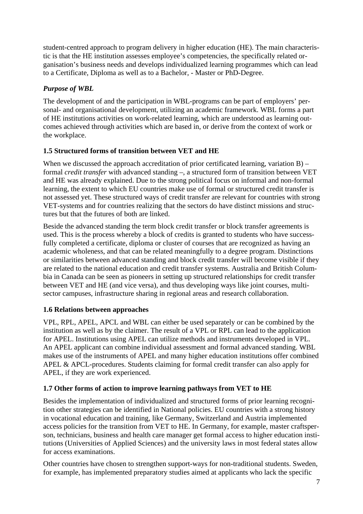student-centred approach to program delivery in higher education (HE). The main characteristic is that the HE institution assesses employee's competencies, the specifically related organisation's business needs and develops individualized learning programmes which can lead to a Certificate, Diploma as well as to a Bachelor, - Master or PhD-Degree.

## *Purpose of WBL*

The development of and the participation in WBL-programs can be part of employers' personal- and organisational development, utilizing an academic framework. WBL forms a part of HE institutions activities on work-related learning, which are understood as learning outcomes achieved through activities which are based in, or derive from the context of work or the workplace.

## **1.5 Structured forms of transition between VET and HE**

When we discussed the approach accreditation of prior certificated learning, variation B) – formal *credit transfer* with advanced standing –, a structured form of transition between VET and HE was already explained. Due to the strong political focus on informal and non-formal learning, the extent to which EU countries make use of formal or structured credit transfer is not assessed yet. These structured ways of credit transfer are relevant for countries with strong VET-systems and for countries realizing that the sectors do have distinct missions and structures but that the futures of both are linked.

Beside the advanced standing the term block credit transfer or block transfer agreements is used. This is the process whereby a block of credits is granted to students who have successfully completed a certificate, diploma or cluster of courses that are recognized as having an academic wholeness, and that can be related meaningfully to a degree program. Distinctions or similarities between advanced standing and block credit transfer will become visible if they are related to the national education and credit transfer systems. Australia and British Columbia in Canada can be seen as pioneers in setting up structured relationships for credit transfer between VET and HE (and vice versa), and thus developing ways like joint courses, multisector campuses, infrastructure sharing in regional areas and research collaboration.

## **1.6 Relations between approaches**

VPL, RPL, APEL, APCL and WBL can either be used separately or can be combined by the institution as well as by the claimer. The result of a VPL or RPL can lead to the application for APEL. Institutions using APEL can utilize methods and instruments developed in VPL. An APEL applicant can combine individual assessment and formal advanced standing. WBL makes use of the instruments of APEL and many higher education institutions offer combined APEL & APCL-procedures. Students claiming for formal credit transfer can also apply for APEL, if they are work experienced.

## **1.7 Other forms of action to improve learning pathways from VET to HE**

Besides the implementation of individualized and structured forms of prior learning recognition other strategies can be identified in National policies. EU countries with a strong history in vocational education and training, like Germany, Switzerland and Austria implemented access policies for the transition from VET to HE. In Germany, for example, master craftsperson, technicians, business and health care manager get formal access to higher education institutions (Universities of Applied Sciences) and the university laws in most federal states allow for access examinations.

Other countries have chosen to strengthen support-ways for non-traditional students. Sweden, for example, has implemented preparatory studies aimed at applicants who lack the specific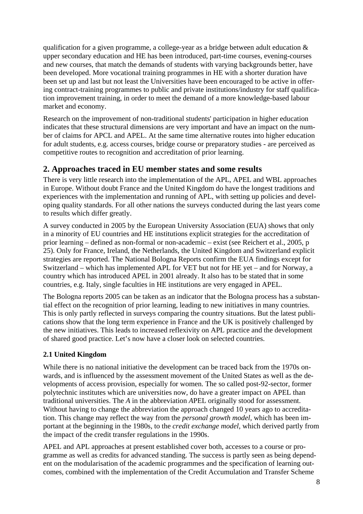qualification for a given programme, a college-year as a bridge between adult education & upper secondary education and HE has been introduced, part-time courses, evening-courses and new courses, that match the demands of students with varying backgrounds better, have been developed. More vocational training programmes in HE with a shorter duration have been set up and last but not least the Universities have been encouraged to be active in offering contract-training programmes to public and private institutions/industry for staff qualification improvement training, in order to meet the demand of a more knowledge-based labour market and economy.

Research on the improvement of non-traditional students' participation in higher education indicates that these structural dimensions are very important and have an impact on the number of claims for APCL and APEL. At the same time alternative routes into higher education for adult students, e.g. access courses, bridge course or preparatory studies - are perceived as competitive routes to recognition and accreditation of prior learning.

## **2. Approaches traced in EU member states and some results**

There is very little research into the implementation of the APL, APEL and WBL approaches in Europe. Without doubt France and the United Kingdom do have the longest traditions and experiences with the implementation and running of APL, with setting up policies and developing quality standards. For all other nations the surveys conducted during the last years come to results which differ greatly.

A survey conducted in 2005 by the European University Association (EUA) shows that only in a minority of EU countries and HE institutions explicit strategies for the accreditation of prior learning – defined as non-formal or non-academic – exist (see Reichert et al., 2005, p 25). Only for France, Ireland, the Netherlands, the United Kingdom and Switzerland explicit strategies are reported. The National Bologna Reports confirm the EUA findings except for Switzerland – which has implemented APL for VET but not for HE yet – and for Norway, a country which has introduced APEL in 2001 already. It also has to be stated that in some countries, e.g. Italy, single faculties in HE institutions are very engaged in APEL.

The Bologna reports 2005 can be taken as an indicator that the Bologna process has a substantial effect on the recognition of prior learning, leading to new initiatives in many countries. This is only partly reflected in surveys comparing the country situations. But the latest publications show that the long term experience in France and the UK is positively challenged by the new initiatives. This leads to increased reflexivity on APL practice and the development of shared good practice. Let's now have a closer look on selected countries.

## **2.1 United Kingdom**

While there is no national initiative the development can be traced back from the 1970s onwards, and is influenced by the assessment movement of the United States as well as the developments of access provision, especially for women. The so called post-92-sector, former polytechnic institutes which are universities now, do have a greater impact on APEL than traditional universities. The *A* in the abbreviation *A*PEL originally stood for assessment. Without having to change the abbreviation the approach changed 10 years ago to accreditation. This change may reflect the way from the *personal growth model,* which has been important at the beginning in the 1980s, to the *credit exchange model,* which derived partly from the impact of the credit transfer regulations in the 1990s.

APEL and APL approaches at present established cover both, accesses to a course or programme as well as credits for advanced standing. The success is partly seen as being dependent on the modularisation of the academic programmes and the specification of learning outcomes, combined with the implementation of the Credit Accumulation and Transfer Scheme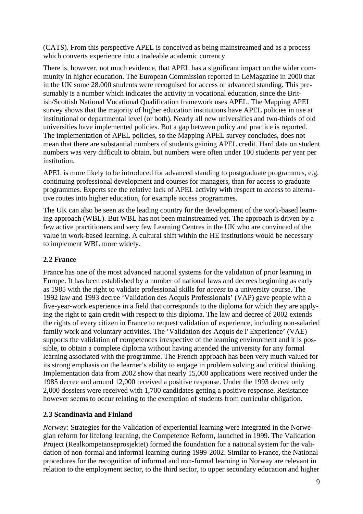(CATS). From this perspective APEL is conceived as being mainstreamed and as a process which converts experience into a tradeable academic currency.

There is, however, not much evidence, that APEL has a significant impact on the wider community in higher education. The European Commission reported in LeMagazine in 2000 that in the UK some 28.000 students were recognised for access or advanced standing. This presumably is a number which indicates the activity in vocational education, since the British/Scottish National Vocational Qualification framework uses APEL. The Mapping APEL survey shows that the majority of higher education institutions have APEL policies in use at institutional or departmental level (or both). Nearly all new universities and two-thirds of old universities have implemented policies. But a gap between policy and practice is reported. The implementation of APEL policies, so the Mapping APEL survey concludes, does not mean that there are substantial numbers of students gaining APEL credit. Hard data on student numbers was very difficult to obtain, but numbers were often under 100 students per year per institution.

APEL is more likely to be introduced for advanced standing to postgraduate programmes, e.g. continuing professional development and courses for managers, than for access to graduate programmes. Experts see the relative lack of APEL activity with respect to *access* to alternative routes into higher education, for example access programmes.

The UK can also be seen as the leading country for the development of the work-based learning approach (WBL). But WBL has not been mainstreamed yet. The approach is driven by a few active practitioners and very few Learning Centres in the UK who are convinced of the value in work-based learning. A cultural shift within the HE institutions would be necessary to implement WBL more widely.

### **2.2 France**

France has one of the most advanced national systems for the validation of prior learning in Europe. It has been established by a number of national laws and decrees beginning as early as 1985 with the right to validate professional skills for *access* to a university course. The 1992 law and 1993 decree 'Validation des Acquis Professionals' (VAP) gave people with a five-year-work experience in a field that corresponds to the diploma for which they are applying the right to gain credit with respect to this diploma. The law and decree of 2002 extends the rights of every citizen in France to request validation of experience, including non-salaried family work and voluntary activities. The 'Validation des Acquis de l' Experience' (VAE) supports the validation of competences irrespective of the learning environment and it is possible, to obtain a complete diploma without having attended the university for any formal learning associated with the programme. The French approach has been very much valued for its strong emphasis on the learner's ability to engage in problem solving and critical thinking. Implementation data from 2002 show that nearly 15,000 applications were received under the 1985 decree and around 12,000 received a positive response. Under the 1993 decree only 2,000 dossiers were received with 1,700 candidates getting a positive response. Resistance however seems to occur relating to the exemption of students from curricular obligation.

#### **2.3 Scandinavia and Finland**

*Norway:* Strategies for the Validation of experiential learning were integrated in the Norwegian reform for lifelong learning, the Competence Reform, launched in 1999. The Validation Project (Realkompetanseprosjektet) formed the foundation for a national system for the validation of non-formal and informal learning during 1999-2002. Similar to France, the National procedures for the recognition of informal and non-formal learning in Norway are relevant in relation to the employment sector, to the third sector, to upper secondary education and higher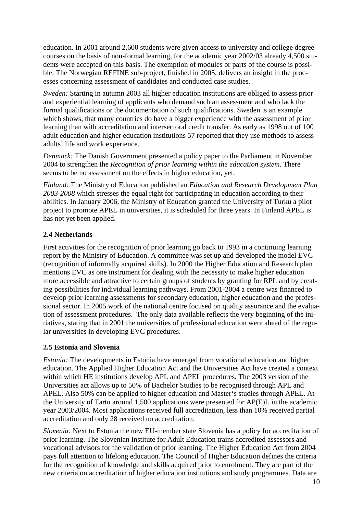education. In 2001 around 2,600 students were given access to university and college degree courses on the basis of non-formal learning, for the academic year 2002/03 already 4,500 students were accepted on this basis. The exemption of modules or parts of the course is possible. The Norwegian REFINE sub-project, finished in 2005, delivers an insight in the processes concerning assessment of candidates and conducted case studies.

*Sweden:* Starting in autumn 2003 all higher education institutions are obliged to assess prior and experiential learning of applicants who demand such an assessment and who lack the formal qualifications or the documentation of such qualifications. Sweden is an example which shows, that many countries do have a bigger experience with the assessment of prior learning than with accreditation and intersectoral credit transfer. As early as 1998 out of 100 adult education and higher education institutions 57 reported that they use methods to assess adults' life and work experience.

*Denmark:* The Danish Government presented a policy paper to the Parliament in November 2004 to strengthen the *Recognition of prior learning within the education system*. There seems to be no assessment on the effects in higher education, yet.

*Finland:* The Ministry of Education published an *Education and Research Development Plan 2003-2008* which stresses the equal right for participating in education according to their abilities. In January 2006, the Ministry of Education granted the University of Turku a pilot project to promote APEL in universities, it is scheduled for three years. In Finland APEL is has not yet been applied.

#### **2.4 Netherlands**

First activities for the recognition of prior learning go back to 1993 in a continuing learning report by the Ministry of Education. A committee was set up and developed the model EVC (recognition of informally acquired skills). In 2000 the Higher Education and Research plan mentions EVC as one instrument for dealing with the necessity to make higher education more accessible and attractive to certain groups of students by granting for RPL and by creating possibilities for individual learning pathways. From 2001-2004 a centre was financed to develop prior learning assessments for secondary education, higher education and the professional sector. In 2005 work of the national centre focused on quality assurance and the evaluation of assessment procedures. The only data available reflects the very beginning of the initiatives, stating that in 2001 the universities of professional education were ahead of the regular universities in developing EVC procedures.

#### **2.5 Estonia and Slovenia**

*Estonia:* The developments in Estonia have emerged from vocational education and higher education. The Applied Higher Education Act and the Universities Act have created a context within which HE institutions develop APL and APEL procedures. The 2003 version of the Universities act allows up to 50% of Bachelor Studies to be recognised through APL and APEL. Also 50% can be applied to higher education and Master's studies through APEL. At the University of Tartu around 1,500 applications were presented for AP(E)L in the academic year 2003/2004. Most applications received full accreditation, less than 10% received partial accreditation and only 28 received no accreditation.

*Slovenia:* Next to Estonia the new EU-member state Slovenia has a policy for accreditation of prior learning. The Slovenian Institute for Adult Education trains accredited assessors and vocational advisors for the validation of prior learning. The Higher Education Act from 2004 pays full attention to lifelong education. The Council of Higher Education defines the criteria for the recognition of knowledge and skills acquired prior to enrolment. They are part of the new criteria on accreditation of higher education institutions and study programmes. Data are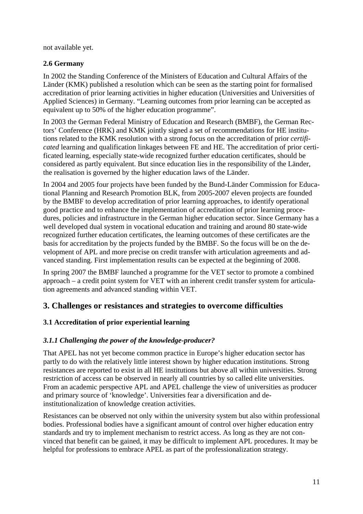not available yet.

## **2.6 Germany**

In 2002 the Standing Conference of the Ministers of Education and Cultural Affairs of the Länder (KMK) published a resolution which can be seen as the starting point for formalised accreditation of prior learning activities in higher education (Universities and Universities of Applied Sciences) in Germany. "Learning outcomes from prior learning can be accepted as equivalent up to 50% of the higher education programme".

In 2003 the German Federal Ministry of Education and Research (BMBF), the German Rectors' Conference (HRK) and KMK jointly signed a set of recommendations for HE institutions related to the KMK resolution with a strong focus on the accreditation of prior *certificated* learning and qualification linkages between FE and HE. The accreditation of prior certificated learning, especially state-wide recognized further education certificates, should be considered as partly equivalent. But since education lies in the responsibility of the Länder, the realisation is governed by the higher education laws of the Länder.

In 2004 and 2005 four projects have been funded by the Bund-Länder Commission for Educational Planning and Research Promotion BLK, from 2005-2007 eleven projects are founded by the BMBF to develop accreditation of prior learning approaches, to identify operational good practice and to enhance the implementation of accreditation of prior learning procedures, policies and infrastructure in the German higher education sector. Since Germany has a well developed dual system in vocational education and training and around 80 state-wide recognized further education certificates, the learning outcomes of these certificates are the basis for accreditation by the projects funded by the BMBF. So the focus will be on the development of APL and more precise on credit transfer with articulation agreements and advanced standing. First implementation results can be expected at the beginning of 2008.

In spring 2007 the BMBF launched a programme for the VET sector to promote a combined approach – a credit point system for VET with an inherent credit transfer system for articulation agreements and advanced standing within VET.

## **3. Challenges or resistances and strategies to overcome difficulties**

## **3.1 Accreditation of prior experiential learning**

## *3.1.1 Challenging the power of the knowledge-producer?*

That APEL has not yet become common practice in Europe's higher education sector has partly to do with the relatively little interest shown by higher education institutions. Strong resistances are reported to exist in all HE institutions but above all within universities. Strong restriction of access can be observed in nearly all countries by so called elite universities. From an academic perspective APL and APEL challenge the view of universities as producer and primary source of 'knowledge'. Universities fear a diversification and deinstitutionalization of knowledge creation activities.

Resistances can be observed not only within the university system but also within professional bodies. Professional bodies have a significant amount of control over higher education entry standards and try to implement mechanism to restrict access. As long as they are not convinced that benefit can be gained, it may be difficult to implement APL procedures. It may be helpful for professions to embrace APEL as part of the professionalization strategy.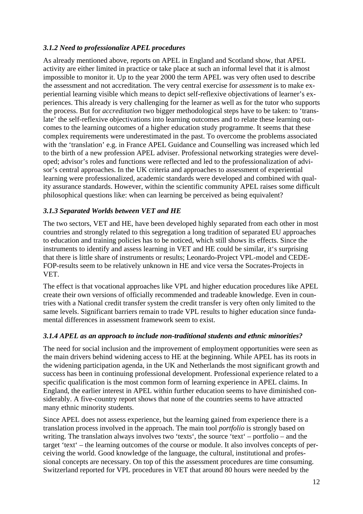#### *3.1.2 Need to professionalize APEL procedures*

As already mentioned above, reports on APEL in England and Scotland show, that APEL activity are either limited in practice or take place at such an informal level that it is almost impossible to monitor it. Up to the year 2000 the term APEL was very often used to describe the assessment and not accreditation. The very central exercise for *assessment* is to make experiential learning visible which means to depict self-reflexive objectivations of learner's experiences. This already is very challenging for the learner as well as for the tutor who supports the process. But for *accreditation* two bigger methodological steps have to be taken: to 'translate' the self-reflexive objectivations into learning outcomes and to relate these learning outcomes to the learning outcomes of a higher education study programme. It seems that these complex requirements were underestimated in the past. To overcome the problems associated with the 'translation' e.g. in France APEL Guidance and Counselling was increased which led to the birth of a new profession APEL adviser. Professional networking strategies were developed; advisor's roles and functions were reflected and led to the professionalization of advisor's central approaches. In the UK criteria and approaches to assessment of experiential learning were professionalized, academic standards were developed and combined with quality assurance standards. However, within the scientific community APEL raises some difficult philosophical questions like: when can learning be perceived as being equivalent?

## *3.1.3 Separated Worlds between VET and HE*

The two sectors, VET and HE, have been developed highly separated from each other in most countries and strongly related to this segregation a long tradition of separated EU approaches to education and training policies has to be noticed, which still shows its effects. Since the instruments to identify and assess learning in VET and HE could be similar, it's surprising that there is little share of instruments or results; Leonardo-Project VPL-model and CEDE-FOP-results seem to be relatively unknown in HE and vice versa the Socrates-Projects in VET.

The effect is that vocational approaches like VPL and higher education procedures like APEL create their own versions of officially recommended and tradeable knowledge. Even in countries with a National credit transfer system the credit transfer is very often only limited to the same levels. Significant barriers remain to trade VPL results to higher education since fundamental differences in assessment framework seem to exist.

#### *3.1.4 APEL as an approach to include non-traditional students and ethnic minorities?*

The need for social inclusion and the improvement of employment opportunities were seen as the main drivers behind widening access to HE at the beginning. While APEL has its roots in the widening participation agenda, in the UK and Netherlands the most significant growth and success has been in continuing professional development. Professional experience related to a specific qualification is the most common form of learning experience in APEL claims. In England, the earlier interest in APEL within further education seems to have diminished considerably. A five-country report shows that none of the countries seems to have attracted many ethnic minority students.

Since APEL does not assess experience, but the learning gained from experience there is a translation process involved in the approach. The main tool *portfolio* is strongly based on writing. The translation always involves two 'texts', the source 'text' – portfolio – and the target 'text' – the learning outcomes of the course or module. It also involves concepts of perceiving the world. Good knowledge of the language, the cultural, institutional and professional concepts are necessary. On top of this the assessment procedures are time consuming. Switzerland reported for VPL procedures in VET that around 80 hours were needed by the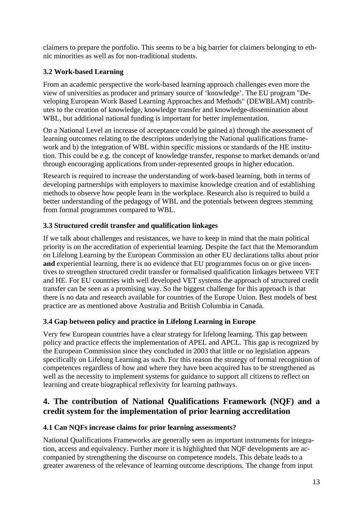claimers to prepare the portfolio. This seems to be a big barrier for claimers belonging to ethnic minorities as well as for non-traditional students.

## **3.2 Work-based Learning**

From an academic perspective the work-based learning approach challenges even more the view of universities as producer and primary source of 'knowledge'. The EU program "Developing European Work Based Learning Approaches and Methods" (DEWBLAM) contributes to the creation of knowledge, knowledge transfer and knowledge-dissemination about WBL, but additional national funding is important for better implementation.

On a National Level an increase of acceptance could be gained a) through the assessment of learning outcomes relating to the descriptors underlying the National qualifications framework and b) the integration of WBL within specific missions or standards of the HE institution. This could be e.g. the concept of knowledge transfer, response to market demands or/and through encouraging applications from under-represented groups in higher education.

Research is required to increase the understanding of work-based learning, both in terms of developing partnerships with employers to maximise knowledge creation and of establishing methods to observe how people learn in the workplace. Research also is required to build a better understanding of the pedagogy of WBL and the potentials between degrees stemming from formal programmes compared to WBL.

## **3.3 Structured credit transfer and qualification linkages**

If we talk about challenges and resistances, we have to keep in mind that the main political priority is on the accreditation of experiential learning. Despite the fact that the Memorandum on Lifelong Learning by the European Commission an other EU declarations talks about prior **and** experiential learning, there is no evidence that EU programmes focus on or give incentives to strengthen structured credit transfer or formalised qualification linkages between VET and HE. For EU countries with well developed VET systems the approach of structured credit transfer can be seen as a promising way. So the biggest challenge for this approach is that there is no data and research available for countries of the Europe Union. Best models of best practice are as mentioned above Australia and British Columbia in Canada.

## **3.4 Gap between policy and practice in Lifelong Learning in Europe**

Very few European countries have a clear strategy for lifelong learning. This gap between policy and practice effects the implementation of APEL and APCL. This gap is recognized by the European Commission since they concluded in 2003 that little or no legislation appears specifically on Lifelong Learning as such. For this reason the strategy of formal recognition of competences regardless of how and where they have been acquired has to be strengthened as well as the necessity to implement systems for guidance to support all citizens to reflect on learning and create biographical reflexivity for learning pathways.

## **4. The contribution of National Qualifications Framework (NQF) and a credit system for the implementation of prior learning accreditation**

## **4.1 Can NQFs increase claims for prior learning assessments?**

National Qualifications Frameworks are generally seen as important instruments for integration, access and equivalency. Further more it is highlighted that NQF developments are accompanied by strengthening the discourse on competence models. This debate leads to a greater awareness of the relevance of learning outcome descriptions. The change from input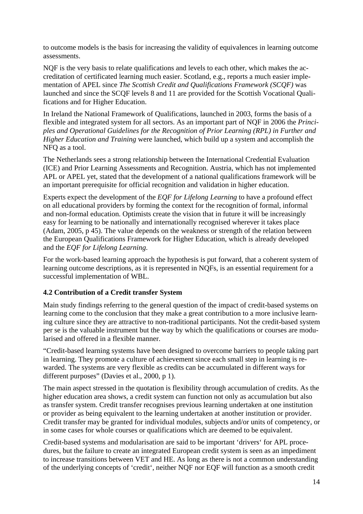to outcome models is the basis for increasing the validity of equivalences in learning outcome assessments.

NQF is the very basis to relate qualifications and levels to each other, which makes the accreditation of certificated learning much easier. Scotland, e.g., reports a much easier implementation of APEL since *The Scottish Credit and Qualifications Framework (SCQF)* was launched and since the SCQF levels 8 and 11 are provided for the Scottish Vocational Qualifications and for Higher Education.

In Ireland the National Framework of Qualifications, launched in 2003, forms the basis of a flexible and integrated system for all sectors. As an important part of NQF in 2006 the *Principles and Operational Guidelines for the Recognition of Prior Learning (RPL) in Further and Higher Education and Training* were launched, which build up a system and accomplish the NFQ as a tool.

The Netherlands sees a strong relationship between the International Credential Evaluation (ICE) and Prior Learning Assessments and Recognition. Austria, which has not implemented APL or APEL yet, stated that the development of a national qualifications framework will be an important prerequisite for official recognition and validation in higher education.

Experts expect the development of the *EQF for Lifelong Learning* to have a profound effect on all educational providers by forming the context for the recognition of formal, informal and non-formal education. Optimists create the vision that in future it will be increasingly easy for learning to be nationally and internationally recognised wherever it takes place (Adam, 2005, p 45). The value depends on the weakness or strength of the relation between the European Qualifications Framework for Higher Education, which is already developed and the *EQF for Lifelong Learning*.

For the work-based learning approach the hypothesis is put forward, that a coherent system of learning outcome descriptions, as it is represented in NQFs, is an essential requirement for a successful implementation of WBL.

#### **4.2 Contribution of a Credit transfer System**

Main study findings referring to the general question of the impact of credit-based systems on learning come to the conclusion that they make a great contribution to a more inclusive learning culture since they are attractive to non-traditional participants. Not the credit-based system per se is the valuable instrument but the way by which the qualifications or courses are modularised and offered in a flexible manner.

"Credit-based learning systems have been designed to overcome barriers to people taking part in learning. They promote a culture of achievement since each small step in learning is rewarded. The systems are very flexible as credits can be accumulated in different ways for different purposes" (Davies et al., 2000, p 1).

The main aspect stressed in the quotation is flexibility through accumulation of credits. As the higher education area shows, a credit system can function not only as accumulation but also as transfer system. Credit transfer recognises previous learning undertaken at one institution or provider as being equivalent to the learning undertaken at another institution or provider. Credit transfer may be granted for individual modules, subjects and/or units of competency, or in some cases for whole courses or qualifications which are deemed to be equivalent.

Credit-based systems and modularisation are said to be important 'drivers' for APL procedures, but the failure to create an integrated European credit system is seen as an impediment to increase transitions between VET and HE. As long as there is not a common understanding of the underlying concepts of 'credit', neither NQF nor EQF will function as a smooth credit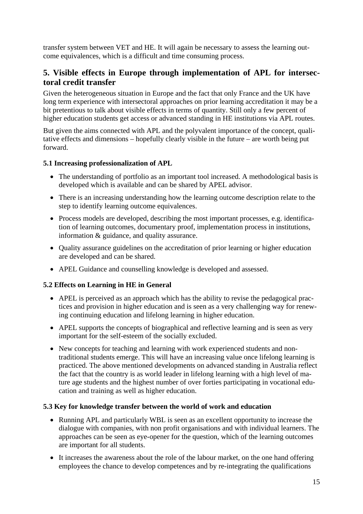transfer system between VET and HE. It will again be necessary to assess the learning outcome equivalences, which is a difficult and time consuming process.

## **5. Visible effects in Europe through implementation of APL for intersectoral credit transfer**

Given the heterogeneous situation in Europe and the fact that only France and the UK have long term experience with intersectoral approaches on prior learning accreditation it may be a bit pretentious to talk about visible effects in terms of quantity. Still only a few percent of higher education students get access or advanced standing in HE institutions via APL routes.

But given the aims connected with APL and the polyvalent importance of the concept, qualitative effects and dimensions – hopefully clearly visible in the future – are worth being put forward.

#### **5.1 Increasing professionalization of APL**

- The understanding of portfolio as an important tool increased. A methodological basis is developed which is available and can be shared by APEL advisor.
- There is an increasing understanding how the learning outcome description relate to the step to identify learning outcome equivalences.
- Process models are developed, describing the most important processes, e.g. identification of learning outcomes, documentary proof, implementation process in institutions, information & guidance, and quality assurance.
- Quality assurance guidelines on the accreditation of prior learning or higher education are developed and can be shared.
- APEL Guidance and counselling knowledge is developed and assessed.

#### **5.2 Effects on Learning in HE in General**

- APEL is perceived as an approach which has the ability to revise the pedagogical practices and provision in higher education and is seen as a very challenging way for renewing continuing education and lifelong learning in higher education.
- APEL supports the concepts of biographical and reflective learning and is seen as very important for the self-esteem of the socially excluded.
- New concepts for teaching and learning with work experienced students and nontraditional students emerge. This will have an increasing value once lifelong learning is practiced. The above mentioned developments on advanced standing in Australia reflect the fact that the country is as world leader in lifelong learning with a high level of mature age students and the highest number of over forties participating in vocational education and training as well as higher education.

#### **5.3 Key for knowledge transfer between the world of work and education**

- Running APL and particularly WBL is seen as an excellent opportunity to increase the dialogue with companies, with non profit organisations and with individual learners. The approaches can be seen as eye-opener for the question, which of the learning outcomes are important for all students.
- It increases the awareness about the role of the labour market, on the one hand offering employees the chance to develop competences and by re-integrating the qualifications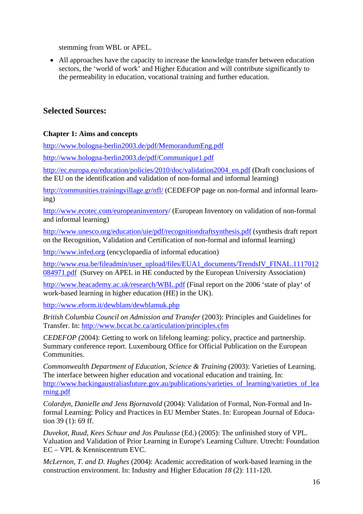stemming from WBL or APEL.

• All approaches have the capacity to increase the knowledge transfer between education sectors, the 'world of work' and Higher Education and will contribute significantly to the permeability in education, vocational training and further education.

## **Selected Sources:**

#### **Chapter 1: Aims and concepts**

http://www.bologna-berlin2003.de/pdf/MemorandumEng.pdf

http://www.bologna-berlin2003.de/pdf/Communique1.pdf

http://ec.europa.eu/education/policies/2010/doc/validation2004\_en.pdf (Draft conclusions of the EU on the identification and validation of non-formal and informal learning)

http://communities.trainingvillage.gr/nfl/ (CEDEFOP page on non-formal and informal learning)

http://www.ecotec.com/europeaninventory/ (European Inventory on validation of non-formal and informal learning)

http://www.unesco.org/education/uie/pdf/recognitiondraftsynthesis.pdf (synthesis draft report on the Recognition, Validation and Certification of non-formal and informal learning)

http://www.infed.org (encyclopaedia of informal education)

http://www.eua.be/fileadmin/user\_upload/files/EUA1\_documents/TrendsIV\_FINAL.1117012 084971.pdf (Survey on APEL in HE conducted by the European University Association)

http://www.heacademy.ac.uk/research/WBL.pdf (Final report on the 2006 'state of play' of work-based learning in higher education (HE) in the UK).

http://www.eform.it/dewblam/dewblamuk.php

*British Columbia Council on Admission and Transfer* (2003): Principles and Guidelines for Transfer. In: http://www.bccat.bc.ca/articulation/principles.cfm

*CEDEFOP (*2004): Getting to work on lifelong learning: policy, practice and partnership. Summary conference report. Luxembourg Office for Official Publication on the European Communities.

*Commonwealth Department of Education, Science & Training* (2003): Varieties of Learning. The interface between higher education and vocational education and training. In: http://www.backingaustraliasfuture.gov.au/publications/varieties\_of\_learning/varieties\_of\_lea rning.pdf

*Colardyn, Danielle and Jens Bjornavold* (2004): Validation of Formal, Non-Formal and Informal Learning: Policy and Practices in EU Member States. In: European Journal of Education 39 (1): 69 ff.

*Duvekot, Ruud, Kees Schuur and Jos Paulusse* (Ed.) (2005): The unfinished story of VPL. Valuation and Validation of Prior Learning in Europe's Learning Culture. Utrecht: Foundation EC – VPL & Kenniscentrum EVC.

*McLernon, T. and D. Hughes* (2004): Academic accreditation of work-based learning in the construction environment. In: Industry and Higher Education *18* (2): 111-120.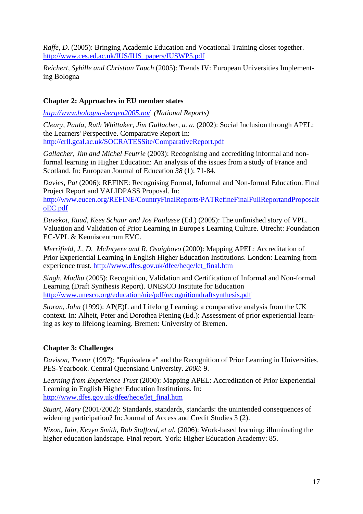*Raffe, D.* (2005): Bringing Academic Education and Vocational Training closer together. http://www.ces.ed.ac.uk/IUS/IUS\_papers/IUSWP5.pdf

*Reichert, Sybille and Christian Tauch* (2005): Trends IV: European Universities Implementing Bologna

#### **Chapter 2: Approaches in EU member states**

*http://www.bologna-bergen2005.no/ (National Reports)* 

*Cleary, Paula, Ruth Whittaker, Jim Gallacher, u. a.* (2002): Social Inclusion through APEL: the Learners' Perspective. Comparative Report In: http://crll.gcal.ac.uk/SOCRATESSite/ComparativeReport.pdf

*Gallacher, Jim and Michel Feutrie* (2003): Recognising and accrediting informal and nonformal learning in Higher Education: An analysis of the issues from a study of France and Scotland. In: European Journal of Education *38* (1): 71-84.

*Davies, Pat* (2006): REFINE: Recognising Formal, Informal and Non-formal Education. Final Project Report and VALIDPASS Proposal. In: http://www.eucen.org/REFINE/CountryFinalReports/PATRefineFinalFullReportandProposalt oEC.pdf

*Duvekot, Ruud, Kees Schuur and Jos Paulusse* (Ed.) (2005): The unfinished story of VPL. Valuation and Validation of Prior Learning in Europe's Learning Culture. Utrecht: Foundation EC-VPL & Kenniscentrum EVC.

*Merrifield, J., D. McIntyere and R. Osaigbovo* (2000): Mapping APEL: Accreditation of Prior Experiential Learning in English Higher Education Institutions. London: Learning from experience trust. http://www.dfes.gov.uk/dfee/heqe/let\_final.htm

*Singh, Madhu* (2005): Recognition, Validation and Certification of Informal and Non-formal Learning (Draft Synthesis Report). UNESCO Institute for Education http://www.unesco.org/education/uie/pdf/recognitiondraftsynthesis.pdf

*Storan, John* (1999): AP(E)L and Lifelong Learning: a comparative analysis from the UK context. In: Alheit, Peter and Dorothea Piening (Ed.): Assessment of prior experiential learning as key to lifelong learning. Bremen: University of Bremen.

#### **Chapter 3: Challenges**

*Davison, Trevor* (1997): "Equivalence" and the Recognition of Prior Learning in Universities. PES-Yearbook. Central Queensland University. *2006*: 9.

*Learning from Experience Trust* (2000): Mapping APEL: Accreditation of Prior Experiential Learning in English Higher Education Institutions. In: http://www.dfes.gov.uk/dfee/heqe/let\_final.htm

*Stuart, Mary* (2001/2002): Standards, standards, standards: the unintended consequences of widening participation? In: Journal of Access and Credit Studies 3 (2).

*Nixon, Iain, Kevyn Smith, Rob Stafford, et al.* (2006): Work-based learning: illuminating the higher education landscape. Final report. York: Higher Education Academy: 85.